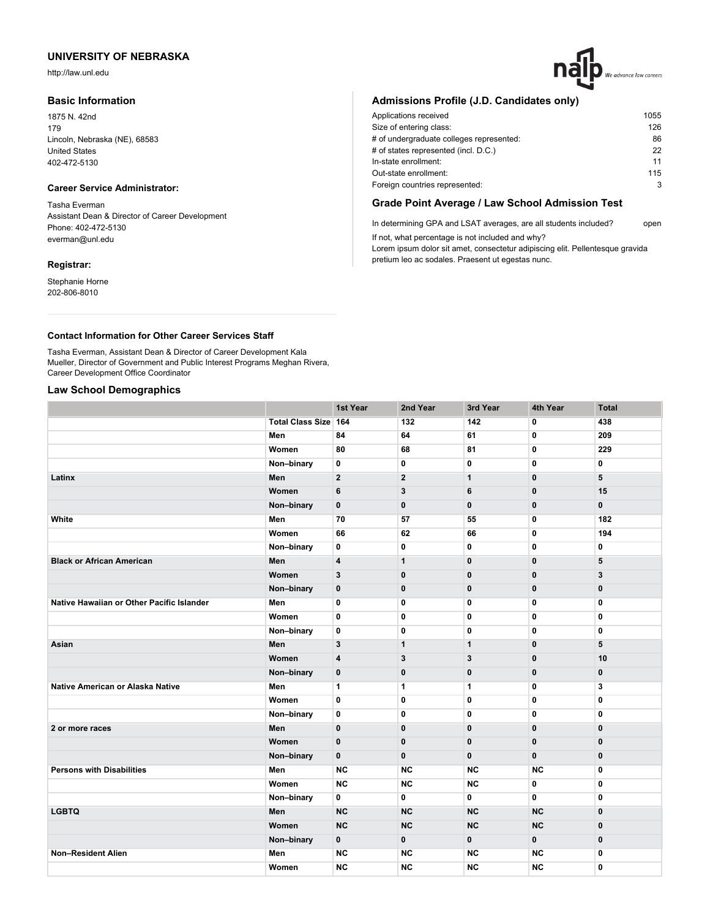http://law.unl.edu

# **Basic Information**

1875 N. 42nd 179 Lincoln, Nebraska (NE), 68583 United States 402-472-5130

# **Career Service Administrator:**

Tasha Everman Assistant Dean & Director of Career Development Phone: 402-472-5130 everman@unl.edu

#### **Registrar:**

Stephanie Horne 202-806-8010

# We advance law careers

# **Admissions Profile (J.D. Candidates only)**

| Applications received                    | 1055 |
|------------------------------------------|------|
| Size of entering class:                  | 126  |
| # of undergraduate colleges represented: | 86   |
| # of states represented (incl. D.C.)     | 22   |
| In-state enrollment:                     | 11   |
| Out-state enrollment:                    | 115  |
| Foreign countries represented:           | 3    |
|                                          |      |

# **Grade Point Average / Law School Admission Test**

In determining GPA and LSAT averages, are all students included? open If not, what percentage is not included and why?

Lorem ipsum dolor sit amet, consectetur adipiscing elit. Pellentesque gravida pretium leo ac sodales. Praesent ut egestas nunc.

## **Contact Information for Other Career Services Staff**

Tasha Everman, Assistant Dean & Director of Career Development Kala Mueller, Director of Government and Public Interest Programs Meghan Rivera, Career Development Office Coordinator

# **Law School Demographics**

|                                           |                             | 1st Year                | 2nd Year                | 3rd Year     | 4th Year     | <b>Total</b> |
|-------------------------------------------|-----------------------------|-------------------------|-------------------------|--------------|--------------|--------------|
|                                           | <b>Total Class Size 164</b> |                         | 132                     | 142          | 0            | 438          |
|                                           | Men                         | 84                      | 64                      | 61           | $\mathbf{0}$ | 209          |
|                                           | Women                       | 80                      | 68                      | 81           | 0            | 229          |
|                                           | Non-binary                  | $\mathbf 0$             | 0                       | 0            | $\mathbf 0$  | 0            |
| Latinx                                    | Men                         | $\overline{2}$          | $\overline{\mathbf{2}}$ | $\mathbf{1}$ | $\bf{0}$     | 5            |
|                                           | Women                       | 6                       | 3                       | 6            | $\mathbf 0$  | 15           |
|                                           | Non-binary                  | $\mathbf 0$             | $\mathbf 0$             | $\mathbf 0$  | $\mathbf 0$  | $\mathbf{0}$ |
| White                                     | Men                         | 70                      | 57                      | 55           | 0            | 182          |
|                                           | Women                       | 66                      | 62                      | 66           | $\mathbf 0$  | 194          |
|                                           | Non-binary                  | 0                       | 0                       | 0            | 0            | 0            |
| <b>Black or African American</b>          | Men                         | $\overline{\mathbf{4}}$ | $\mathbf{1}$            | $\mathbf{0}$ | $\mathbf 0$  | 5            |
|                                           | Women                       | 3                       | $\bf{0}$                | $\mathbf 0$  | $\mathbf 0$  | 3            |
|                                           | Non-binary                  | $\mathbf 0$             | $\bf{0}$                | $\mathbf 0$  | $\mathbf 0$  | 0            |
| Native Hawaiian or Other Pacific Islander | Men                         | $\mathbf{0}$            | 0                       | $\mathbf 0$  | $\mathbf 0$  | $\mathbf 0$  |
|                                           | Women                       | 0                       | 0                       | 0            | 0            | $\mathbf 0$  |
|                                           | Non-binary                  | 0                       | 0                       | 0            | $\mathbf 0$  | $\mathbf 0$  |
| Asian                                     | Men                         | 3                       | $\mathbf{1}$            | $\mathbf{1}$ | $\mathbf 0$  | 5            |
|                                           | Women                       | 4                       | 3                       | 3            | $\mathbf 0$  | 10           |
|                                           | Non-binary                  | $\mathbf 0$             | $\bf{0}$                | $\bf{0}$     | $\bf{0}$     | $\bf{0}$     |
| Native American or Alaska Native          | Men                         | 1                       | $\mathbf{1}$            | $\mathbf{1}$ | 0            | 3            |
|                                           | Women                       | $\mathbf 0$             | 0                       | 0            | $\mathbf 0$  | $\mathbf 0$  |
|                                           | Non-binary                  | $\mathbf 0$             | $\mathbf{0}$            | 0            | $\mathbf{0}$ | $\mathbf{0}$ |
| 2 or more races                           | Men                         | $\mathbf{0}$            | $\bf{0}$                | $\bf{0}$     | $\mathbf{0}$ | $\bf{0}$     |
|                                           | Women                       | $\mathbf{0}$            | $\mathbf 0$             | $\mathbf 0$  | $\mathbf 0$  | $\bf{0}$     |
|                                           | Non-binary                  | $\mathbf 0$             | $\pmb{0}$               | $\pmb{0}$    | $\pmb{0}$    | $\bf{0}$     |
| <b>Persons with Disabilities</b>          | Men                         | <b>NC</b>               | <b>NC</b>               | <b>NC</b>    | <b>NC</b>    | $\mathbf 0$  |
|                                           | Women                       | <b>NC</b>               | <b>NC</b>               | <b>NC</b>    | 0            | $\mathbf{0}$ |
|                                           | Non-binary                  | 0                       | 0                       | 0            | 0            | 0            |
| <b>LGBTQ</b>                              | Men                         | <b>NC</b>               | <b>NC</b>               | NC           | <b>NC</b>    | $\mathbf 0$  |
|                                           | Women                       | <b>NC</b>               | <b>NC</b>               | <b>NC</b>    | <b>NC</b>    | $\pmb{0}$    |
|                                           | Non-binary                  | $\mathbf 0$             | $\mathbf{0}$            | $\mathbf{0}$ | $\mathbf{0}$ | $\mathbf 0$  |
| <b>Non-Resident Alien</b>                 | Men                         | <b>NC</b>               | <b>NC</b>               | <b>NC</b>    | <b>NC</b>    | $\mathbf 0$  |
|                                           | Women                       | <b>NC</b>               | <b>NC</b>               | <b>NC</b>    | <b>NC</b>    | 0            |
|                                           |                             |                         |                         |              |              |              |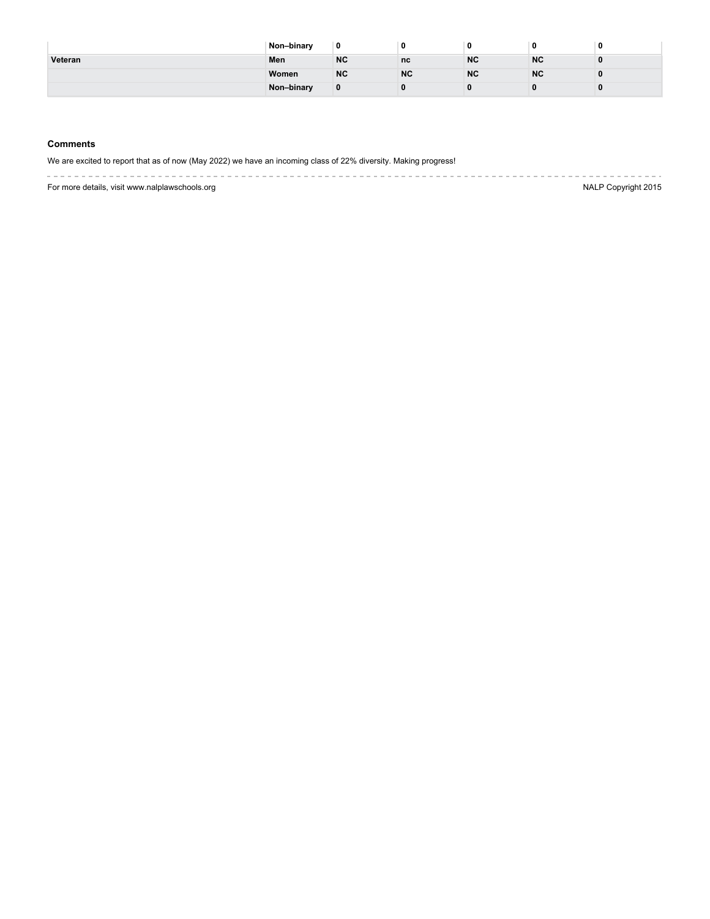|         | Non-binary | 0         |           |           | 0         | 0 |
|---------|------------|-----------|-----------|-----------|-----------|---|
| Veteran | Men        | <b>NC</b> | nc        | <b>NC</b> | <b>NC</b> |   |
|         | Women      | <b>NC</b> | <b>NC</b> | <b>NC</b> | <b>NC</b> |   |
|         | Non-binary | 0         |           |           |           |   |

## **Comments**

We are excited to report that as of now (May 2022) we have an incoming class of 22% diversity. Making progress!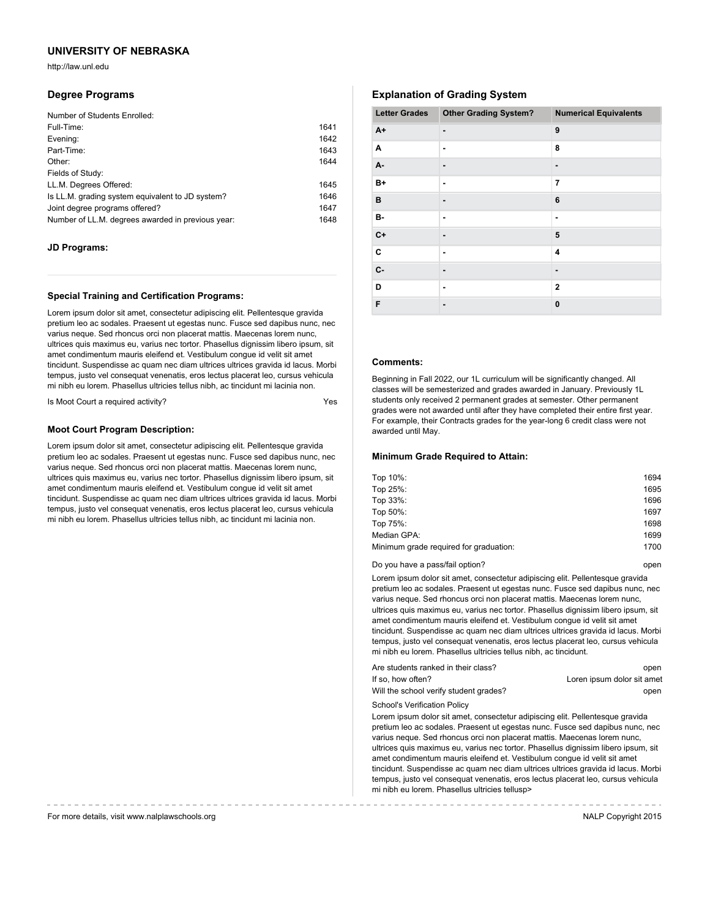http://law.unl.edu

#### **Degree Programs**

| Number of Students Enrolled:                      |      |
|---------------------------------------------------|------|
| Full-Time:                                        | 1641 |
| Evening:                                          | 1642 |
| Part-Time:                                        | 1643 |
| Other:                                            | 1644 |
| Fields of Study:                                  |      |
| LL.M. Degrees Offered:                            | 1645 |
| Is LL.M. grading system equivalent to JD system?  | 1646 |
| Joint degree programs offered?                    | 1647 |
| Number of LL.M. degrees awarded in previous year: | 1648 |

#### **JD Programs:**

#### **Special Training and Certification Programs:**

Lorem ipsum dolor sit amet, consectetur adipiscing elit. Pellentesque gravida pretium leo ac sodales. Praesent ut egestas nunc. Fusce sed dapibus nunc, nec varius neque. Sed rhoncus orci non placerat mattis. Maecenas lorem nunc, ultrices quis maximus eu, varius nec tortor. Phasellus dignissim libero ipsum, sit amet condimentum mauris eleifend et. Vestibulum congue id velit sit amet tincidunt. Suspendisse ac quam nec diam ultrices ultrices gravida id lacus. Morbi tempus, justo vel consequat venenatis, eros lectus placerat leo, cursus vehicula mi nibh eu lorem. Phasellus ultricies tellus nibh, ac tincidunt mi lacinia non.

Is Moot Court a required activity?

#### **Moot Court Program Description:**

Lorem ipsum dolor sit amet, consectetur adipiscing elit. Pellentesque gravida pretium leo ac sodales. Praesent ut egestas nunc. Fusce sed dapibus nunc, nec varius neque. Sed rhoncus orci non placerat mattis. Maecenas lorem nunc, ultrices quis maximus eu, varius nec tortor. Phasellus dignissim libero ipsum, sit amet condimentum mauris eleifend et. Vestibulum congue id velit sit amet tincidunt. Suspendisse ac quam nec diam ultrices ultrices gravida id lacus. Morbi tempus, justo vel consequat venenatis, eros lectus placerat leo, cursus vehicula mi nibh eu lorem. Phasellus ultricies tellus nibh, ac tincidunt mi lacinia non.

# **Explanation of Grading System**

| <b>Letter Grades</b> | <b>Other Grading System?</b> | <b>Numerical Equivalents</b> |
|----------------------|------------------------------|------------------------------|
| $A+$                 | $\overline{\phantom{0}}$     | 9                            |
| A                    | ٠                            | 8                            |
| A-                   | $\overline{\phantom{0}}$     | ٠                            |
| $B+$                 | ٠                            | 7                            |
| в                    | $\blacksquare$               | 6                            |
| в-                   | ٠                            | ٠                            |
| $C+$                 | $\overline{\phantom{0}}$     | 5                            |
| C                    | ٠                            | $\overline{\mathbf{4}}$      |
| c-                   | $\overline{\phantom{0}}$     | ٠                            |
| D                    | ٠                            | $\overline{2}$               |
| F                    | $\blacksquare$               | $\mathbf{0}$                 |

## **Comments:**

Beginning in Fall 2022, our 1L curriculum will be significantly changed. All classes will be semesterized and grades awarded in January. Previously 1L students only received 2 permanent grades at semester. Other permanent grades were not awarded until after they have completed their entire first year. For example, their Contracts grades for the year-long 6 credit class were not awarded until May.

#### **Minimum Grade Required to Attain:**

| Top 10%:                               | 1694 |
|----------------------------------------|------|
| Top 25%:                               | 1695 |
| Top 33%:                               | 1696 |
| Top 50%:                               | 1697 |
| Top 75%:                               | 1698 |
| Median GPA:                            | 1699 |
| Minimum grade required for graduation: | 1700 |
|                                        |      |

Do you have a pass/fail option? **Do you have a passe** open

Lorem ipsum dolor sit amet, consectetur adipiscing elit. Pellentesque gravida pretium leo ac sodales. Praesent ut egestas nunc. Fusce sed dapibus nunc, nec varius neque. Sed rhoncus orci non placerat mattis. Maecenas lorem nunc, ultrices quis maximus eu, varius nec tortor. Phasellus dignissim libero ipsum, sit amet condimentum mauris eleifend et. Vestibulum congue id velit sit amet tincidunt. Suspendisse ac quam nec diam ultrices ultrices gravida id lacus. Morbi tempus, justo vel consequat venenatis, eros lectus placerat leo, cursus vehicula mi nibh eu lorem. Phasellus ultricies tellus nibh, ac tincidunt.

| Are students ranked in their class?    | open                       |
|----------------------------------------|----------------------------|
| If so, how often?                      | Loren ipsum dolor sit amet |
| Will the school verify student grades? | open                       |
| _ _ _ _ _ _ _ _ _ _ _ _                |                            |

School's Verification Policy

Lorem ipsum dolor sit amet, consectetur adipiscing elit. Pellentesque gravida pretium leo ac sodales. Praesent ut egestas nunc. Fusce sed dapibus nunc, nec varius neque. Sed rhoncus orci non placerat mattis. Maecenas lorem nunc, ultrices quis maximus eu, varius nec tortor. Phasellus dignissim libero ipsum, sit amet condimentum mauris eleifend et. Vestibulum congue id velit sit amet tincidunt. Suspendisse ac quam nec diam ultrices ultrices gravida id lacus. Morbi tempus, justo vel consequat venenatis, eros lectus placerat leo, cursus vehicula mi nibh eu lorem. Phasellus ultricies tellusp>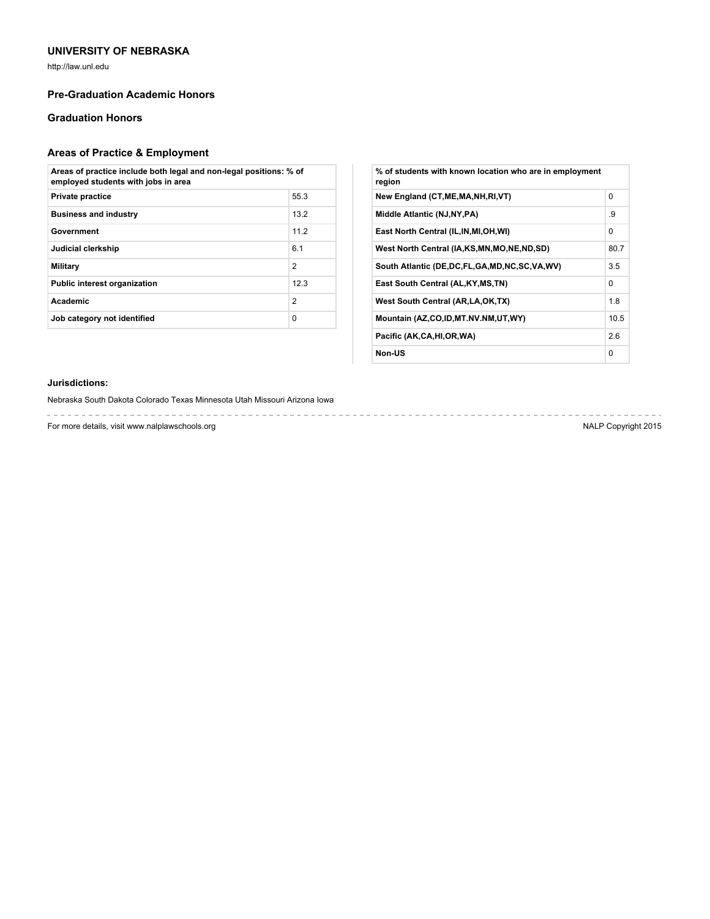http://law.unl.edu

# **Pre-Graduation Academic Honors**

# **Graduation Honors**

# **Areas of Practice & Employment**

| Areas of practice include both legal and non-legal positions: % of<br>employed students with jobs in area |                |  |
|-----------------------------------------------------------------------------------------------------------|----------------|--|
| <b>Private practice</b>                                                                                   | 55.3           |  |
| <b>Business and industry</b>                                                                              | 13.2           |  |
| Government                                                                                                | 112            |  |
| Judicial clerkship                                                                                        | 6.1            |  |
| Military                                                                                                  | $\overline{2}$ |  |
| <b>Public interest organization</b>                                                                       | 12.3           |  |
| Academic                                                                                                  | $\overline{2}$ |  |
| Job category not identified                                                                               | $\Omega$       |  |

| % of students with known location who are in employment<br>region |          |
|-------------------------------------------------------------------|----------|
| New England (CT, ME, MA, NH, RI, VT)                              | $\Omega$ |
| Middle Atlantic (NJ, NY, PA)                                      | .9       |
| East North Central (IL, IN, MI, OH, WI)                           | $\Omega$ |
| West North Central (IA,KS,MN,MO,NE,ND,SD)                         | 80.7     |
| South Atlantic (DE, DC, FL, GA, MD, NC, SC, VA, WV)               | 3.5      |
| East South Central (AL, KY, MS, TN)                               | 0        |
| West South Central (AR, LA, OK, TX)                               | 1.8      |
| Mountain (AZ,CO,ID,MT.NV.NM,UT,WY)                                | 10.5     |
| Pacific (AK,CA,HI,OR,WA)                                          | 2.6      |
| Non-US                                                            | $\Omega$ |

# **Jurisdictions:**

Nebraska South Dakota Colorado Texas Minnesota Utah Missouri Arizona Iowa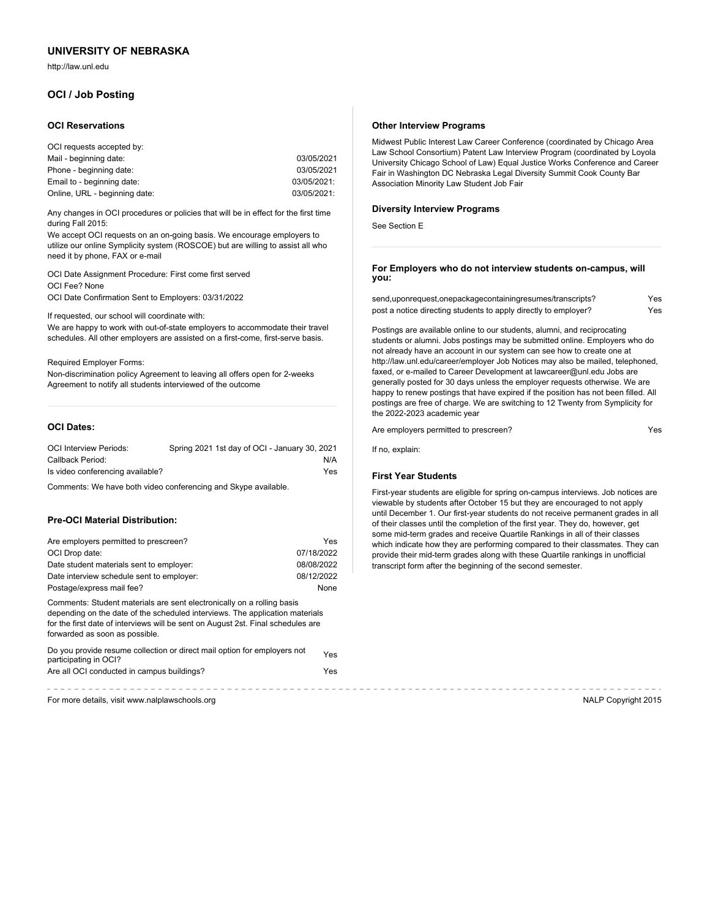http://law.unl.edu

# **OCI / Job Posting**

#### **OCI Reservations**

| OCI requests accepted by:     |             |
|-------------------------------|-------------|
| Mail - beginning date:        | 03/05/2021  |
| Phone - beginning date:       | 03/05/2021  |
| Email to - beginning date:    | 03/05/2021: |
| Online, URL - beginning date: | 03/05/2021: |

Any changes in OCI procedures or policies that will be in effect for the first time during Fall 2015:

We accept OCI requests on an on-going basis. We encourage employers to utilize our online Symplicity system (ROSCOE) but are willing to assist all who need it by phone, FAX or e-mail

OCI Date Assignment Procedure: First come first served OCI Fee? None OCI Date Confirmation Sent to Employers: 03/31/2022

If requested, our school will coordinate with:

We are happy to work with out-of-state employers to accommodate their travel schedules. All other employers are assisted on a first-come, first-serve basis.

Required Employer Forms:

Non-discrimination policy Agreement to leaving all offers open for 2-weeks Agreement to notify all students interviewed of the outcome

# **OCI Dates:**

| <b>OCI Interview Periods:</b>    | Spring 2021 1st day of OCI - January 30, 2021 |
|----------------------------------|-----------------------------------------------|
| Callback Period:                 | N/A                                           |
| Is video conferencing available? | Yes                                           |

Comments: We have both video conferencing and Skype available.

#### **Pre-OCI Material Distribution:**

| Are employers permitted to prescreen?                                                                                                                                                                                                                                        | Yes        |
|------------------------------------------------------------------------------------------------------------------------------------------------------------------------------------------------------------------------------------------------------------------------------|------------|
| OCI Drop date:                                                                                                                                                                                                                                                               | 07/18/2022 |
| Date student materials sent to employer:                                                                                                                                                                                                                                     | 08/08/2022 |
| Date interview schedule sent to employer:                                                                                                                                                                                                                                    | 08/12/2022 |
| Postage/express mail fee?                                                                                                                                                                                                                                                    | None       |
| Comments: Student materials are sent electronically on a rolling basis<br>depending on the date of the scheduled interviews. The application materials<br>for the first date of interviews will be sent on August 2st. Final schedules are<br>forwarded as soon as possible. |            |
| Do you provide resume collection or direct mail option for employers not<br>participating in OCI?                                                                                                                                                                            | Yes        |

| participating in OCI?                      |     |
|--------------------------------------------|-----|
| Are all OCI conducted in campus buildings? | Yes |

For more details, visit www.nalplawschools.org NALP Copyright 2015

#### **Other Interview Programs**

Midwest Public Interest Law Career Conference (coordinated by Chicago Area Law School Consortium) Patent Law Interview Program (coordinated by Loyola University Chicago School of Law) Equal Justice Works Conference and Career Fair in Washington DC Nebraska Legal Diversity Summit Cook County Bar Association Minority Law Student Job Fair

#### **Diversity Interview Programs**

See Section E

#### **For Employers who do not interview students on-campus, will you:**

| send, upon request, one package containing resumes/transcripts? | Yes |
|-----------------------------------------------------------------|-----|
| post a notice directing students to apply directly to employer? | Yes |

Postings are available online to our students, alumni, and reciprocating students or alumni. Jobs postings may be submitted online. Employers who do not already have an account in our system can see how to create one at http://law.unl.edu/career/employer Job Notices may also be mailed, telephoned, faxed, or e-mailed to Career Development at lawcareer@unl.edu Jobs are generally posted for 30 days unless the employer requests otherwise. We are happy to renew postings that have expired if the position has not been filled. All postings are free of charge. We are switching to 12 Twenty from Symplicity for the 2022-2023 academic year

Are employers permitted to prescreen?

If no, explain:

## **First Year Students**

First-year students are eligible for spring on-campus interviews. Job notices are viewable by students after October 15 but they are encouraged to not apply until December 1. Our first-year students do not receive permanent grades in all of their classes until the completion of the first year. They do, however, get some mid-term grades and receive Quartile Rankings in all of their classes which indicate how they are performing compared to their classmates. They can provide their mid-term grades along with these Quartile rankings in unofficial transcript form after the beginning of the second semester.